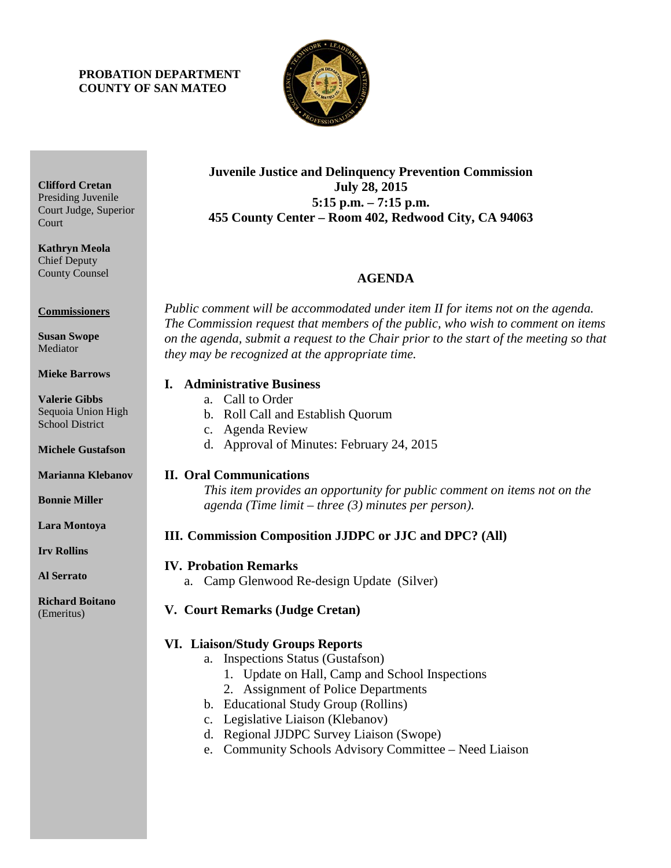## **PROBATION DEPARTMENT COUNTY OF SAN MATEO**



## **Juvenile Justice and Delinquency Prevention Commission July 28, 2015 5:15 p.m. – 7:15 p.m. 455 County Center – Room 402, Redwood City, CA 94063**

# **AGENDA**

*Public comment will be accommodated under item II for items not on the agenda. The Commission request that members of the public, who wish to comment on items on the agenda, submit a request to the Chair prior to the start of the meeting so that they may be recognized at the appropriate time.* 

### **I. Administrative Business**

- a. Call to Order
- b. Roll Call and Establish Quorum
- c. Agenda Review
- d. Approval of Minutes: February 24, 2015

### **II. Oral Communications**

*This item provides an opportunity for public comment on items not on the agenda (Time limit – three (3) minutes per person).*

# **III. Commission Composition JJDPC or JJC and DPC? (All)**

### **IV. Probation Remarks**

a. Camp Glenwood Re-design Update (Silver)

# **V. Court Remarks (Judge Cretan)**

# **VI. Liaison/Study Groups Reports**

- a. Inspections Status (Gustafson)
	- 1. Update on Hall, Camp and School Inspections
	- 2. Assignment of Police Departments
- b. Educational Study Group (Rollins)
- c. Legislative Liaison (Klebanov)
- d. Regional JJDPC Survey Liaison (Swope)
- e. Community Schools Advisory Committee Need Liaison

**Clifford Cretan** Presiding Juvenile Court Judge, Superior **Court** 

**Kathryn Meola** Chief Deputy County Counsel

**Commissioners**

**Susan Swope Mediator** 

**Mieke Barrows**

**Valerie Gibbs** Sequoia Union High School District

**Michele Gustafson**

**Marianna Klebanov**

**Bonnie Miller**

**Lara Montoya**

**Irv Rollins** 

**Al Serrato**

**Richard Boitano** (Emeritus)